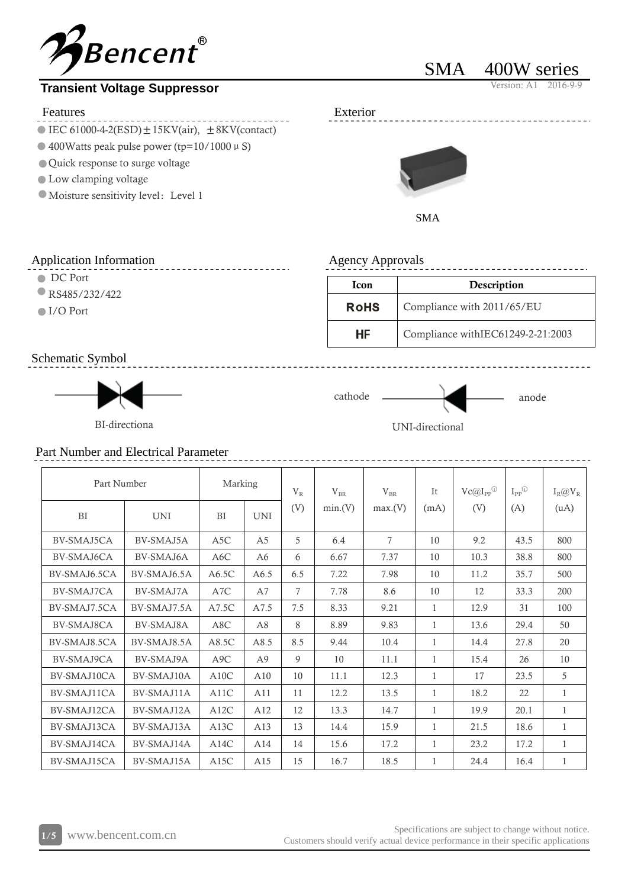

# **Transient Voltage Suppressor**

#### Features Exterior

- IEC 61000-4-2(ESD)  $\pm$  15KV(air),  $\pm$  8KV(contact)
- $\bullet$  400Watts peak pulse power (tp=10/1000  $\mu$  S)
- Quick response to surge voltage
- Low clamping voltage
- $\bullet$  Moisture sensitivity level: Level 1

# SMA 400W series





#### Agency Approvals

**RoHS** 

**HF** 

#### Application Information

- **DC** Port
- RS485/232/422
- ■I/O Port

## Schematic Symbol



cathode anode

Icon Description

Compliance with 2011/65/EU

Compliance withIEC61249-2-21:2003

BI-directiona UNI-directional



# Part Number and Electrical Parameter

| Part Number  |             | Marking   |                | $V_{R}$ | $V_{BR}$ | $V_{BR}$ | It           | $Vc@I_{PP}$ <sup>①</sup> | $I_{PP}^{\odot}$ | $I_R@V_R$    |
|--------------|-------------|-----------|----------------|---------|----------|----------|--------------|--------------------------|------------------|--------------|
| BI           | <b>UNI</b>  | <b>BI</b> | <b>UNI</b>     | (V)     | min(V)   | max(V)   | (mA)         | (V)                      | (A)              | (uA)         |
| BV-SMAJ5CA   | BV-SMAJ5A   | A5C       | A <sub>5</sub> | 5       | 6.4      | 7        | 10           | 9.2                      | 43.5             | 800          |
| BV-SMAJ6CA   | BV-SMAJ6A   | A6C       | A6             | 6       | 6.67     | 7.37     | 10           | 10.3                     | 38.8             | 800          |
| BV-SMAJ6.5CA | BV-SMAJ6.5A | A6.5C     | A6.5           | 6.5     | 7.22     | 7.98     | 10           | 11.2                     | 35.7             | 500          |
| BV-SMAJ7CA   | BV-SMAJ7A   | A7C       | A7             | 7       | 7.78     | 8.6      | 10           | 12                       | 33.3             | 200          |
| BV-SMAJ7.5CA | BV-SMAJ7.5A | A7.5C     | A7.5           | 7.5     | 8.33     | 9.21     | 1            | 12.9                     | 31               | 100          |
| BV-SMAJ8CA   | BV-SMAJ8A   | A8C       | A8             | 8       | 8.89     | 9.83     | 1            | 13.6                     | 29.4             | 50           |
| BV-SMAJ8.5CA | BV-SMAJ8.5A | A8.5C     | A8.5           | 8.5     | 9.44     | 10.4     | 1            | 14.4                     | 27.8             | 20           |
| BV-SMAJ9CA   | BV-SMAJ9A   | A9C       | A9             | 9       | 10       | 11.1     | 1            | 15.4                     | 26               | 10           |
| BV-SMAJ10CA  | BV-SMAJ10A  | A10C      | A10            | 10      | 11.1     | 12.3     | 1            | 17                       | 23.5             | 5            |
| BV-SMAJ11CA  | BV-SMAJ11A  | A11C      | A11            | 11      | 12.2     | 13.5     | 1            | 18.2                     | 22               | $\mathbf{1}$ |
| BV-SMAJ12CA  | BV-SMAJ12A  | A12C      | A12            | 12      | 13.3     | 14.7     | $\mathbf{1}$ | 19.9                     | 20.1             | $\mathbf{1}$ |
| BV-SMAJ13CA  | BV-SMAJ13A  | A13C      | A13            | 13      | 14.4     | 15.9     | $\mathbf{1}$ | 21.5                     | 18.6             | $\mathbf{1}$ |
| BV-SMAJ14CA  | BV-SMAJ14A  | A14C      | A14            | 14      | 15.6     | 17.2     | 1            | 23.2                     | 17.2             | 1            |
| BV-SMAJ15CA  | BV-SMAJ15A  | A15C      | A15            | 15      | 16.7     | 18.5     | 1            | 24.4                     | 16.4             | 1            |

Specifications are subject to change without notice. Specifications are subject to change without notice.<br>Customers should verify actual device performance in their specific applications contains the specific applications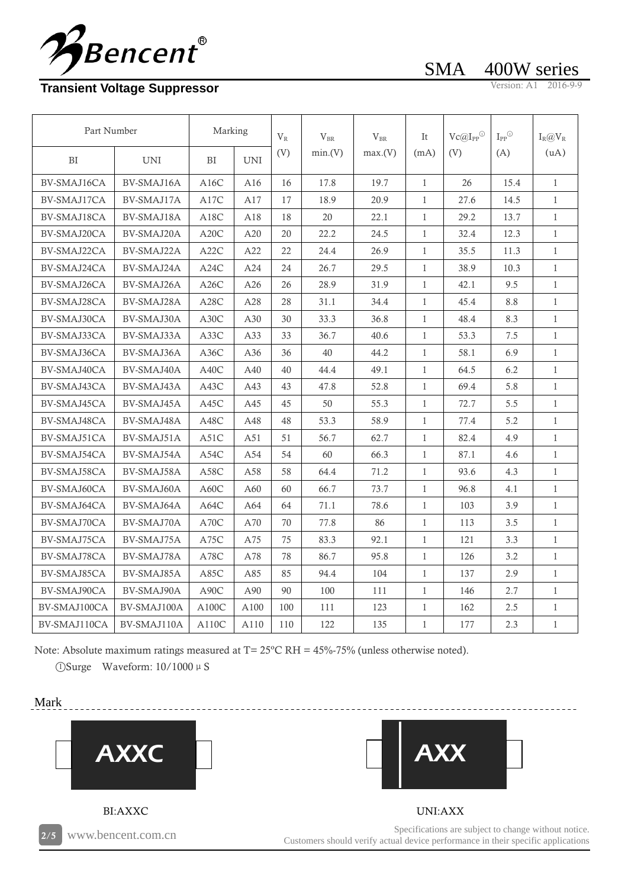

# **Transient Voltage Suppressor**

SMA 400W series

| Part Number  |             | Marking           |            | $V_{R}$ | $V_{BR}$ | $V_{BR}$ | It           | $\text{Vc@I}_{\text{PP}}{}^{\text{\textcircled{\tiny{1}}}}$ | $\mathbf{I}_{\text{PP}}{}^{\textcircled{\tiny{1}}\textcircled{\tiny{1}}}$ | $I_R@V_R$    |
|--------------|-------------|-------------------|------------|---------|----------|----------|--------------|-------------------------------------------------------------|---------------------------------------------------------------------------|--------------|
| BI           | <b>UNI</b>  | BI                | <b>UNI</b> | (V)     | min.(V)  | max(V)   | (mA)         | (V)                                                         | (A)                                                                       | (uA)         |
| BV-SMAJ16CA  | BV-SMAJ16A  | A16C              | A16        | 16      | 17.8     | 19.7     | $\mathbf{1}$ | 26                                                          | 15.4                                                                      | $\mathbf{1}$ |
| BV-SMAJ17CA  | BV-SMAJ17A  | A17C              | A17        | 17      | 18.9     | 20.9     | $\mathbf{1}$ | 27.6                                                        | 14.5                                                                      | $\mathbf{1}$ |
| BV-SMAJ18CA  | BV-SMAJ18A  | A18C              | A18        | 18      | 20       | 22.1     | $\mathbf{1}$ | 29.2                                                        | 13.7                                                                      | $\mathbf{1}$ |
| BV-SMAJ20CA  | BV-SMAJ20A  | A20C              | A20        | 20      | 22.2     | 24.5     | $\mathbf{1}$ | 32.4                                                        | 12.3                                                                      | $\mathbf{1}$ |
| BV-SMAJ22CA  | BV-SMAJ22A  | A22C              | A22        | 22      | 24.4     | 26.9     | $\mathbf{1}$ | 35.5                                                        | 11.3                                                                      | $\mathbf{1}$ |
| BV-SMAJ24CA  | BV-SMAJ24A  | A24C              | A24        | 24      | 26.7     | 29.5     | $\mathbf{1}$ | 38.9                                                        | 10.3                                                                      | $\mathbf{1}$ |
| BV-SMAJ26CA  | BV-SMAJ26A  | A26C              | A26        | 26      | 28.9     | 31.9     | $\mathbf{1}$ | 42.1                                                        | 9.5                                                                       | $\mathbf{1}$ |
| BV-SMAJ28CA  | BV-SMAJ28A  | A28C              | A28        | 28      | 31.1     | 34.4     | $\mathbf{1}$ | 45.4                                                        | 8.8                                                                       | $\mathbf{1}$ |
| BV-SMAJ30CA  | BV-SMAJ30A  | A30C              | A30        | 30      | 33.3     | 36.8     | $\mathbf{1}$ | 48.4                                                        | 8.3                                                                       | $\mathbf{1}$ |
| BV-SMAJ33CA  | BV-SMAJ33A  | A33C              | A33        | 33      | 36.7     | 40.6     | $\mathbf{1}$ | 53.3                                                        | 7.5                                                                       | $\mathbf{1}$ |
| BV-SMAJ36CA  | BV-SMAJ36A  | A36C              | A36        | 36      | 40       | 44.2     | $\mathbf{1}$ | 58.1                                                        | 6.9                                                                       | $\mathbf{1}$ |
| BV-SMAJ40CA  | BV-SMAJ40A  | A40C              | A40        | 40      | 44.4     | 49.1     | 1            | 64.5                                                        | 6.2                                                                       | $\mathbf{1}$ |
| BV-SMAJ43CA  | BV-SMAJ43A  | A43C              | A43        | 43      | 47.8     | 52.8     | $\mathbf{1}$ | 69.4                                                        | 5.8                                                                       | $\mathbf{1}$ |
| BV-SMAJ45CA  | BV-SMAJ45A  | A45C              | A45        | 45      | 50       | 55.3     | 1            | 72.7                                                        | 5.5                                                                       | $\mathbf{1}$ |
| BV-SMAJ48CA  | BV-SMAJ48A  | A48C              | A48        | 48      | 53.3     | 58.9     | $\mathbf{1}$ | 77.4                                                        | 5.2                                                                       | $\mathbf{1}$ |
| BV-SMAJ51CA  | BV-SMAJ51A  | A51C              | A51        | 51      | 56.7     | 62.7     | 1            | 82.4                                                        | 4.9                                                                       | $\mathbf{1}$ |
| BV-SMAJ54CA  | BV-SMAJ54A  | A54C              | A54        | 54      | 60       | 66.3     | $\mathbf{1}$ | 87.1                                                        | 4.6                                                                       | $\mathbf{1}$ |
| BV-SMAJ58CA  | BV-SMAJ58A  | A58C              | A58        | 58      | 64.4     | 71.2     | $\mathbf{1}$ | 93.6                                                        | 4.3                                                                       | $\mathbf{1}$ |
| BV-SMAJ60CA  | BV-SMAJ60A  | A60C              | A60        | 60      | 66.7     | 73.7     | $\mathbf{1}$ | 96.8                                                        | 4.1                                                                       | $\mathbf{1}$ |
| BV-SMAJ64CA  | BV-SMAJ64A  | A64C              | A64        | 64      | 71.1     | 78.6     | $\mathbf{1}$ | 103                                                         | 3.9                                                                       | $\mathbf{1}$ |
| BV-SMAJ70CA  | BV-SMAJ70A  | A70C              | A70        | 70      | 77.8     | 86       | $\mathbf{1}$ | 113                                                         | 3.5                                                                       | $\mathbf{1}$ |
| BV-SMAJ75CA  | BV-SMAJ75A  | A75C              | A75        | 75      | 83.3     | 92.1     | $\mathbf{1}$ | 121                                                         | 3.3                                                                       | $\mathbf{1}$ |
| BV-SMAJ78CA  | BV-SMAJ78A  | A78C              | A78        | 78      | 86.7     | 95.8     | $\mathbf{1}$ | 126                                                         | 3.2                                                                       | $\mathbf{1}$ |
| BV-SMAJ85CA  | BV-SMAJ85A  | A85C              | A85        | 85      | 94.4     | 104      | $\mathbf{1}$ | 137                                                         | 2.9                                                                       | $\mathbf{1}$ |
| BV-SMAJ90CA  | BV-SMAJ90A  | A <sub>90</sub> C | A90        | 90      | 100      | 111      | $\mathbf{1}$ | 146                                                         | 2.7                                                                       | $\mathbf{1}$ |
| BV-SMAJ100CA | BV-SMAJ100A | A100C             | A100       | 100     | 111      | 123      | $\mathbf{1}$ | 162                                                         | 2.5                                                                       | $\mathbf{1}$ |
| BV-SMAJ110CA | BV-SMAJ110A | A110C             | A110       | 110     | 122      | 135      | $\mathbf{1}$ | 177                                                         | 2.3                                                                       | $\mathbf{1}$ |

Note: Absolute maximum ratings measured at T= 25ºC RH = 45%-75% (unless otherwise noted).

 $\Omega$ Surge Waveform: 10/1000  $\mu$  S

Mark





Specifications are subject to change without notice. Specifications are subject to change without notice.<br>Customers should verify actual device performance in their specific applications contains www.bencent.com.cn

UNI:AXX

AXX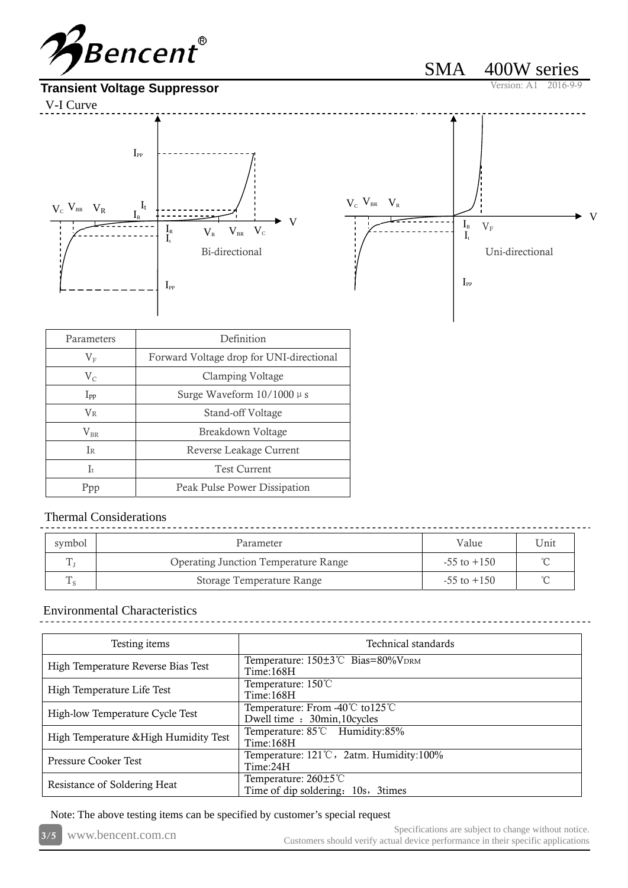



SMA 400W series

| Parameters       | Definition                               |
|------------------|------------------------------------------|
| $\rm V_F$        | Forward Voltage drop for UNI-directional |
| $V_{C}$          | Clamping Voltage                         |
| $I_{\rm pp}$     | Surge Waveform $10/1000 \mu s$           |
| $\rm V_R$        | Stand-off Voltage                        |
| $\rm V_{\rm BR}$ | Breakdown Voltage                        |
| I <sub>R</sub>   | Reverse Leakage Current                  |
| $\mathbf{I}$     | <b>Test Current</b>                      |
| Ppp              | Peak Pulse Power Dissipation             |

# Thermal Considerations

| symbol | Parameter                                   | Value           | Unit   |
|--------|---------------------------------------------|-----------------|--------|
|        | <b>Operating Junction Temperature Range</b> | $-55$ to $+150$ |        |
|        | Storage Temperature Range                   | $-55$ to $+150$ | $\sim$ |

## Environmental Characteristics

| Testing items                         | Technical standards                                            |
|---------------------------------------|----------------------------------------------------------------|
| High Temperature Reverse Bias Test    | Temperature: 150±3℃ Bias=80%VDRM<br>Time:168H                  |
| High Temperature Life Test            | Temperature: 150°C<br>Time:168H                                |
| High-low Temperature Cycle Test       | Temperature: From -40℃ to125℃<br>Dwell time : 30min, 10 cycles |
| High Temperature & High Humidity Test | Temperature: 85°C Humidity:85%<br>Time:168H                    |
| Pressure Cooker Test                  | Temperature: 121°C, 2atm. Humidity:100%<br>Time:24H            |
| Resistance of Soldering Heat          | Temperature: 260±5℃<br>Time of dip soldering: 10s, 3times      |

Note: The above testing items can be specified by customer's special request

|  | 3/5 www.bencent.com.cn | Specifications are subject to change without notice.                             |
|--|------------------------|----------------------------------------------------------------------------------|
|  |                        | Customers should verify actual device performance in their specific applications |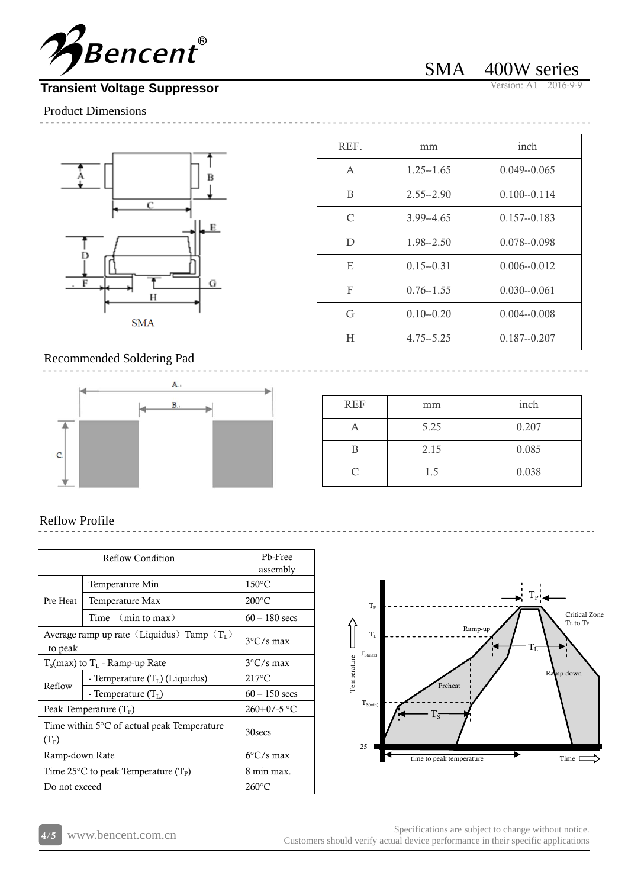

# **Transient Voltage Suppressor**

SMA 400W series

 $\frac{1}{2}$ 

Product Dimensions



| REF.          | mm            | inch            |
|---------------|---------------|-----------------|
| A             | $1.25 - 1.65$ | $0.049 - 0.065$ |
| B             | $2.55 - 2.90$ | $0.100 - 0.114$ |
| $\mathcal{C}$ | $3.99 - 4.65$ | $0.157 - 0.183$ |
| D             | 1.98--2.50    | $0.078 - 0.098$ |
| E             | $0.15 - 0.31$ | $0.006 - 0.012$ |
| F             | $0.76 - 1.55$ | $0.030 - 0.061$ |
| G             | $0.10 - 0.20$ | $0.004 - 0.008$ |
| Н             | $4.75 - 5.25$ | $0.187 - 0.207$ |

#### Recommended Soldering Pad



| <b>REF</b> | mm   | inch  |
|------------|------|-------|
|            | 5.25 | 0.207 |
|            | 2.15 | 0.085 |
|            | 1.5  | 0.038 |

#### Reflow Profile

|                                                         | Reflow Condition                 |                 |  |  |
|---------------------------------------------------------|----------------------------------|-----------------|--|--|
|                                                         | assembly                         |                 |  |  |
|                                                         | Temperature Min                  | $150^{\circ}$ C |  |  |
| Pre Heat                                                | Temperature Max                  | $200^{\circ}$ C |  |  |
|                                                         | Time $(min \mathbf{to} \max)$    | $60 - 180$ secs |  |  |
| Average ramp up rate (Liquidus) Tamp $(T_L)$<br>to peak | $3^{\circ}$ C/s max              |                 |  |  |
| $T_s$ (max) to $T_t$ - Ramp-up Rate                     | $3^{\circ}$ C/s max              |                 |  |  |
| Reflow                                                  | - Temperature $(T_L)$ (Liquidus) | $217^{\circ}$ C |  |  |
|                                                         | - Temperature $(TI)$             | $60 - 150$ secs |  |  |
| Peak Temperature $(T_P)$                                | $260+0/-5$ °C                    |                 |  |  |
| Time within 5°C of actual peak Temperature<br>$(T_P)$   | 30 secs                          |                 |  |  |
| Ramp-down Rate                                          | $6^{\circ}$ C/s max              |                 |  |  |
| Time 25 °C to peak Temperature (T <sub>P</sub> )        | 8 min max.                       |                 |  |  |
| Do not exceed                                           |                                  | $260^{\circ}$ C |  |  |